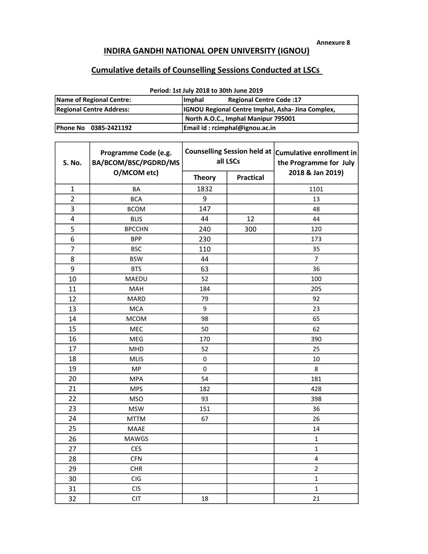Annexure 8

## INDIRA GANDHI NATIONAL OPEN UNIVERSITY (IGNOU)

## Cumulative details of Counselling Sessions Conducted at LSCs

| Name of Regional Centre: | <b>Imphal</b><br><b>Regional Centre Code:17</b>         |  |  |  |  |  |  |  |
|--------------------------|---------------------------------------------------------|--|--|--|--|--|--|--|
| Regional Centre Address: | <b>IGNOU Regional Centre Imphal, Asha-Jina Complex,</b> |  |  |  |  |  |  |  |
|                          | North A.O.C., Imphal Manipur 795001                     |  |  |  |  |  |  |  |
| Phone No 0385-2421192    | Email id: rcimphal@ignou.ac.in                          |  |  |  |  |  |  |  |

## Period: 1st July 2018 to 30th June 2019

| S. No.                  | Programme Code (e.g.<br>BA/BCOM/BSC/PGDRD/MS | Counselling Session held at   Cumulative enrollment in<br>all LSCs |                  | the Programme for July |
|-------------------------|----------------------------------------------|--------------------------------------------------------------------|------------------|------------------------|
|                         | O/MCOM etc)                                  | <b>Theory</b>                                                      | <b>Practical</b> | 2018 & Jan 2019)       |
| $\mathbf{1}$            | BA                                           | 1832                                                               |                  | 1101                   |
| $\overline{2}$          | <b>BCA</b>                                   | 9                                                                  |                  | 13                     |
| 3                       | <b>BCOM</b>                                  | 147                                                                |                  | 48                     |
| $\overline{\mathbf{4}}$ | <b>BLIS</b>                                  | 44                                                                 | 12               | 44                     |
| 5                       | <b>BPCCHN</b>                                | 240                                                                | 300              | 120                    |
| 6                       | <b>BPP</b>                                   | 230                                                                |                  | 173                    |
| $\overline{7}$          | <b>BSC</b>                                   | 110                                                                |                  | 35                     |
| 8                       | <b>BSW</b>                                   | 44                                                                 |                  | 7                      |
| 9                       | <b>BTS</b>                                   | 63                                                                 |                  | 36                     |
| 10                      | MAEDU                                        | 52                                                                 |                  | 100                    |
| 11                      | MAH                                          | 184                                                                |                  | 205                    |
| 12                      | <b>MARD</b>                                  | 79                                                                 |                  | 92                     |
| 13                      | <b>MCA</b>                                   | 9                                                                  |                  | 23                     |
| 14                      | <b>MCOM</b>                                  | 98                                                                 |                  | 65                     |
| 15                      | <b>MEC</b>                                   | 50                                                                 |                  | 62                     |
| 16                      | <b>MEG</b>                                   | 170                                                                |                  | 390                    |
| 17                      | MHD                                          | 52                                                                 |                  | 25                     |
| 18                      | <b>MLIS</b>                                  | $\mathbf 0$                                                        |                  | 10                     |
| 19                      | <b>MP</b>                                    | $\mathbf 0$                                                        |                  | 8                      |
| 20                      | <b>MPA</b>                                   | 54                                                                 |                  | 181                    |
| 21                      | <b>MPS</b>                                   | 182                                                                |                  | 428                    |
| 22                      | <b>MSO</b>                                   | 93                                                                 |                  | 398                    |
| 23                      | <b>MSW</b>                                   | 151                                                                |                  | 36                     |
| 24                      | <b>MTTM</b>                                  | 67                                                                 |                  | 26                     |
| 25                      | MAAE                                         |                                                                    |                  | 14                     |
| 26                      | <b>MAWGS</b>                                 |                                                                    |                  | 1                      |
| 27                      | <b>CES</b>                                   |                                                                    |                  | $\mathbf{1}$           |
| 28                      | <b>CFN</b>                                   |                                                                    |                  | 4                      |
| 29                      | <b>CHR</b>                                   |                                                                    |                  | $\overline{2}$         |
| 30                      | CIG                                          |                                                                    |                  | $\mathbf{1}$           |
| 31                      | <b>CIS</b>                                   |                                                                    |                  | $\mathbf 1$            |
| 32                      | <b>CIT</b>                                   | 18                                                                 |                  | 21                     |